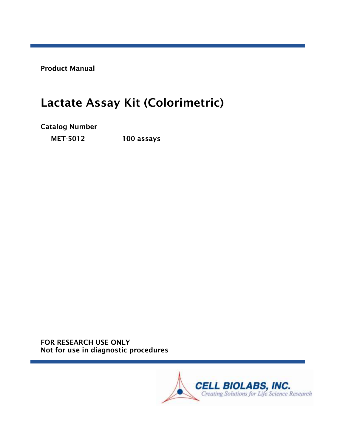Product Manual

# Lactate Assay Kit (Colorimetric)

# Catalog Number

MET-5012 100 assays

FOR RESEARCH USE ONLY Not for use in diagnostic procedures

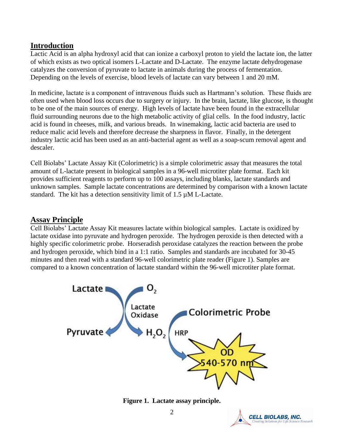### **Introduction**

Lactic Acid is an alpha hydroxyl acid that can ionize a carboxyl proton to yield the lactate ion, the latter of which exists as two optical isomers L-Lactate and D-Lactate. The enzyme lactate dehydrogenase catalyzes the conversion of pyruvate to lactate in animals during the process of fermentation. Depending on the levels of exercise, blood levels of lactate can vary between 1 and 20 mM.

In medicine, lactate is a component of intravenous fluids such as Hartmann's solution. These fluids are often used when blood loss occurs due to surgery or injury. In the brain, lactate, like glucose, is thought to be one of the main sources of energy. High levels of lactate have been found in the extracellular fluid surrounding neurons due to the high metabolic activity of glial cells. In the food industry, lactic acid is found in cheeses, milk, and various breads. In winemaking, lactic acid bacteria are used to reduce malic acid levels and therefore decrease the sharpness in flavor. Finally, in the detergent industry lactic acid has been used as an anti-bacterial agent as well as a soap-scum removal agent and descaler.

Cell Biolabs' Lactate Assay Kit (Colorimetric) is a simple colorimetric assay that measures the total amount of L-lactate present in biological samples in a 96-well microtiter plate format. Each kit provides sufficient reagents to perform up to 100 assays, including blanks, lactate standards and unknown samples. Sample lactate concentrations are determined by comparison with a known lactate standard. The kit has a detection sensitivity limit of  $1.5 \mu M$  L-Lactate.

#### **Assay Principle**

Cell Biolabs' Lactate Assay Kit measures lactate within biological samples. Lactate is oxidized by lactate oxidase into pyruvate and hydrogen peroxide. The hydrogen peroxide is then detected with a highly specific colorimetric probe. Horseradish peroxidase catalyzes the reaction between the probe and hydrogen peroxide, which bind in a 1:1 ratio. Samples and standards are incubated for 30-45 minutes and then read with a standard 96-well colorimetric plate reader (Figure 1). Samples are compared to a known concentration of lactate standard within the 96-well microtiter plate format.





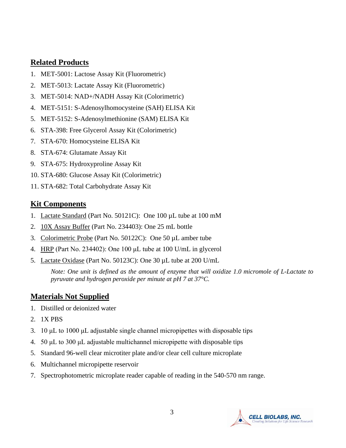## **Related Products**

- 1. MET-5001: Lactose Assay Kit (Fluorometric)
- 2. MET-5013: Lactate Assay Kit (Fluorometric)
- 3. MET-5014: NAD+/NADH Assay Kit (Colorimetric)
- 4. MET-5151: S-Adenosylhomocysteine (SAH) ELISA Kit
- 5. MET-5152: S-Adenosylmethionine (SAM) ELISA Kit
- 6. STA-398: Free Glycerol Assay Kit (Colorimetric)
- 7. STA-670: Homocysteine ELISA Kit
- 8. STA-674: Glutamate Assay Kit
- 9. STA-675: Hydroxyproline Assay Kit
- 10. STA-680: Glucose Assay Kit (Colorimetric)
- 11. STA-682: Total Carbohydrate Assay Kit

### **Kit Components**

- 1. Lactate Standard (Part No. 50121C): One 100 µL tube at 100 mM
- 2. 10X Assay Buffer (Part No. 234403): One 25 mL bottle
- 3. Colorimetric Probe (Part No. 50122C): One 50 µL amber tube
- 4. HRP (Part No. 234402): One 100 μL tube at 100 U/mL in glycerol
- 5. Lactate Oxidase (Part No. 50123C): One 30 µL tube at 200 U/mL

*Note: One unit is defined as the amount of enzyme that will oxidize 1.0 micromole of L-Lactate to pyruvate and hydrogen peroxide per minute at pH 7 at 37°C.*

# **Materials Not Supplied**

- 1. Distilled or deionized water
- 2. 1X PBS
- 3. 10 μL to 1000 μL adjustable single channel micropipettes with disposable tips
- 4. 50 μL to 300 μL adjustable multichannel micropipette with disposable tips
- 5. Standard 96-well clear microtiter plate and/or clear cell culture microplate
- 6. Multichannel micropipette reservoir
- 7. Spectrophotometric microplate reader capable of reading in the 540-570 nm range.

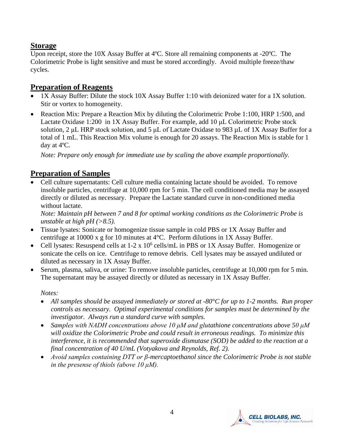# **Storage**

Upon receipt, store the 10X Assay Buffer at 4ºC. Store all remaining components at -20ºC. The Colorimetric Probe is light sensitive and must be stored accordingly. Avoid multiple freeze/thaw cycles.

## **Preparation of Reagents**

- 1X Assay Buffer: Dilute the stock 10X Assay Buffer 1:10 with deionized water for a 1X solution. Stir or vortex to homogeneity.
- Reaction Mix: Prepare a Reaction Mix by diluting the Colorimetric Probe 1:100, HRP 1:500, and Lactate Oxidase 1:200 in 1X Assay Buffer. For example, add 10 μL Colorimetric Probe stock solution, 2 μL HRP stock solution, and 5 μL of Lactate Oxidase to 983 µL of 1X Assay Buffer for a total of 1 mL. This Reaction Mix volume is enough for 20 assays. The Reaction Mix is stable for 1 day at 4ºC.

*Note: Prepare only enough for immediate use by scaling the above example proportionally.*

# **Preparation of Samples**

• Cell culture supernatants: Cell culture media containing lactate should be avoided. To remove insoluble particles, centrifuge at 10,000 rpm for 5 min. The cell conditioned media may be assayed directly or diluted as necessary. Prepare the Lactate standard curve in non-conditioned media without lactate.

*Note: Maintain pH between 7 and 8 for optimal working conditions as the Colorimetric Probe is unstable at high pH (>8.5).*

- Tissue lysates: Sonicate or homogenize tissue sample in cold PBS or 1X Assay Buffer and centrifuge at 10000 x g for 10 minutes at 4°C. Perform dilutions in 1X Assay Buffer.
- Cell lysates: Resuspend cells at  $1-2 \times 10^6$  cells/mL in PBS or 1X Assay Buffer. Homogenize or sonicate the cells on ice. Centrifuge to remove debris. Cell lysates may be assayed undiluted or diluted as necessary in 1X Assay Buffer.
- Serum, plasma, saliva, or urine: To remove insoluble particles, centrifuge at 10,000 rpm for 5 min. The supernatant may be assayed directly or diluted as necessary in 1X Assay Buffer.

*Notes:*

- *All samples should be assayed immediately or stored at -80°C for up to 1-2 months. Run proper controls as necessary. Optimal experimental conditions for samples must be determined by the investigator. Always run a standard curve with samples.*
- *Samples with NADH concentrations above 10 μM and glutathione concentrations above 50 μM will oxidize the Colorimetric Probe and could result in erroneous readings. To minimize this interference, it is recommended that superoxide dismutase (SOD) be added to the reaction at a final concentration of 40 U/mL (Votyakova and Reynolds, Ref. 2).*
- *Avoid samples containing DTT or β-mercaptoethanol since the Colorimetric Probe is not stable in the presense of thiols (above 10 μM).*

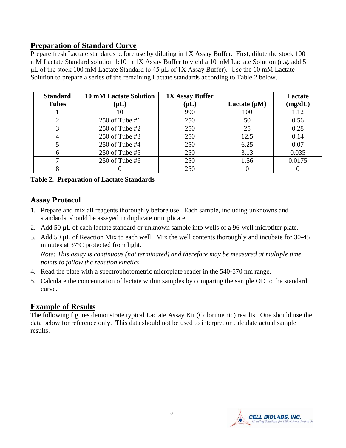# **Preparation of Standard Curve**

Prepare fresh Lactate standards before use by diluting in 1X Assay Buffer. First, dilute the stock 100 mM Lactate Standard solution 1:10 in 1X Assay Buffer to yield a 10 mM Lactate Solution (e.g. add 5 μL of the stock 100 mM Lactate Standard to 45 μL of 1X Assay Buffer). Use the 10 mM Lactate Solution to prepare a series of the remaining Lactate standards according to Table 2 below.

| <b>Standard</b><br><b>Tubes</b> | <b>10 mM Lactate Solution</b><br>$(\mathsf{\mu L})$ | <b>1X Assay Buffer</b><br>$(\mu L)$ | Lactate $(\mu M)$ | Lactate<br>(mg/dL) |
|---------------------------------|-----------------------------------------------------|-------------------------------------|-------------------|--------------------|
|                                 | 10                                                  | 990                                 | 100               | 1.12               |
|                                 | 250 of Tube $#1$                                    | 250                                 | 50                | 0.56               |
|                                 | $250$ of Tube #2                                    | 250                                 | 25                | 0.28               |
|                                 | 250 of Tube #3                                      | 250                                 | 12.5              | 0.14               |
|                                 | 250 of Tube #4                                      | 250                                 | 6.25              | 0.07               |
| 6                               | $250$ of Tube #5                                    | 250                                 | 3.13              | 0.035              |
|                                 | 250 of Tube $#6$                                    | 250                                 | 1.56              | 0.0175             |
|                                 |                                                     | 250                                 |                   |                    |

#### **Table 2. Preparation of Lactate Standards**

## **Assay Protocol**

- 1. Prepare and mix all reagents thoroughly before use. Each sample, including unknowns and standards, should be assayed in duplicate or triplicate.
- 2. Add 50 µL of each lactate standard or unknown sample into wells of a 96-well microtiter plate.
- 3. Add 50 µL of Reaction Mix to each well. Mix the well contents thoroughly and incubate for 30-45 minutes at 37ºC protected from light.

*Note: This assay is continuous (not terminated) and therefore may be measured at multiple time points to follow the reaction kinetics.*

- 4. Read the plate with a spectrophotometric microplate reader in the 540-570 nm range.
- 5. Calculate the concentration of lactate within samples by comparing the sample OD to the standard curve.

# **Example of Results**

The following figures demonstrate typical Lactate Assay Kit (Colorimetric) results. One should use the data below for reference only. This data should not be used to interpret or calculate actual sample results.

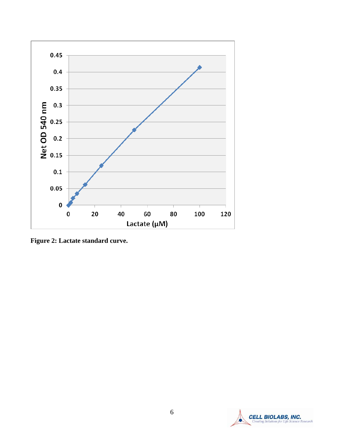

**Figure 2: Lactate standard curve.** 

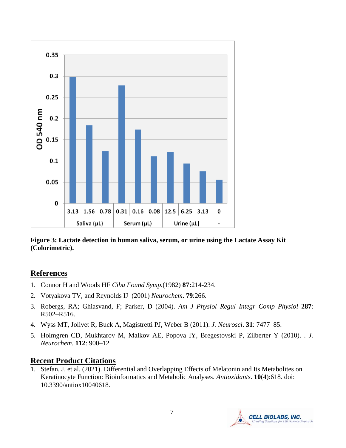

**Figure 3: Lactate detection in human saliva, serum, or urine using the Lactate Assay Kit (Colorimetric).** 

# **References**

- 1. Connor H and Woods HF *Ciba Found Symp.*(1982) **87:**214-234.
- 2. Votyakova TV, and Reynolds IJ (2001) *Neurochem*. **79**:266.
- 3. Robergs, RA; Ghiasvand, F; Parker, D (2004). *Am J Physiol Regul Integr Comp Physiol* **287**: R502–R516.
- 4. Wyss MT, Jolivet R, Buck A, Magistretti PJ, Weber B (2011). *J. Neurosci*. **31**: 7477–85.
- 5. Holmgren CD, Mukhtarov M, Malkov AE, Popova IY, Bregestovski P, Zilberter Y (2010). . *J. Neurochem*. **112**: 900–12

# **Recent Product Citations**

1. Stefan, J. et al. (2021). Differential and Overlapping Effects of Melatonin and Its Metabolites on Keratinocyte Function: Bioinformatics and Metabolic Analyses. *Antioxidants*. **10**(4):618. doi: 10.3390/antiox10040618.